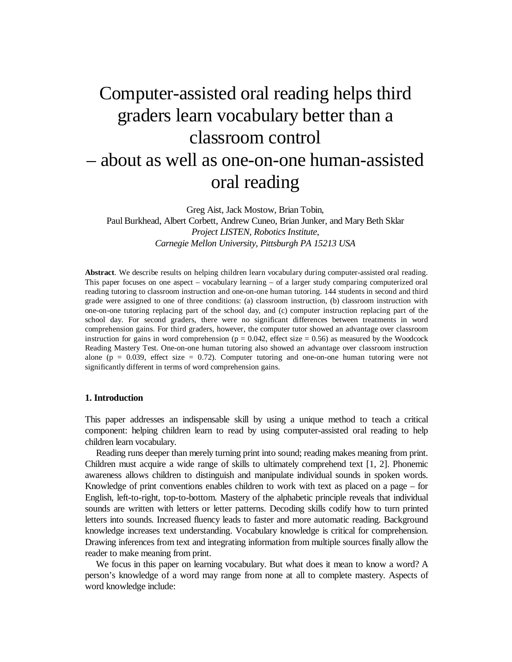# Computer-assisted oral reading helps third graders learn vocabulary better than a classroom control – about as well as one-on-one human-assisted oral reading

Greg Aist, Jack Mostow, Brian Tobin,

Paul Burkhead, Albert Corbett, Andrew Cuneo, Brian Junker, and Mary Beth Sklar *Project LISTEN, Robotics Institute, Carnegie Mellon University, Pittsburgh PA 15213 USA*

**Abstract**. We describe results on helping children learn vocabulary during computer-assisted oral reading. This paper focuses on one aspect – vocabulary learning – of a larger study comparing computerized oral reading tutoring to classroom instruction and one-on-one human tutoring. 144 students in second and third grade were assigned to one of three conditions: (a) classroom instruction, (b) classroom instruction with one-on-one tutoring replacing part of the school day, and (c) computer instruction replacing part of the school day. For second graders, there were no significant differences between treatments in word comprehension gains. For third graders, however, the computer tutor showed an advantage over classroom instruction for gains in word comprehension ( $p = 0.042$ , effect size = 0.56) as measured by the Woodcock Reading Mastery Test. One-on-one human tutoring also showed an advantage over classroom instruction alone ( $p = 0.039$ , effect size = 0.72). Computer tutoring and one-on-one human tutoring were not significantly different in terms of word comprehension gains.

#### **1. Introduction**

This paper addresses an indispensable skill by using a unique method to teach a critical component: helping children learn to read by using computer-assisted oral reading to help children learn vocabulary.

 Reading runs deeper than merely turning print into sound; reading makes meaning from print. Children must acquire a wide range of skills to ultimately comprehend text [1, 2]. Phonemic awareness allows children to distinguish and manipulate individual sounds in spoken words. Knowledge of print conventions enables children to work with text as placed on a page – for English, left-to-right, top-to-bottom. Mastery of the alphabetic principle reveals that individual sounds are written with letters or letter patterns. Decoding skills codify how to turn printed letters into sounds. Increased fluency leads to faster and more automatic reading. Background knowledge increases text understanding. Vocabulary knowledge is critical for comprehension. Drawing inferences from text and integrating information from multiple sources finally allow the reader to make meaning from print.

 We focus in this paper on learning vocabulary. But what does it mean to know a word? A person's knowledge of a word may range from none at all to complete mastery. Aspects of word knowledge include: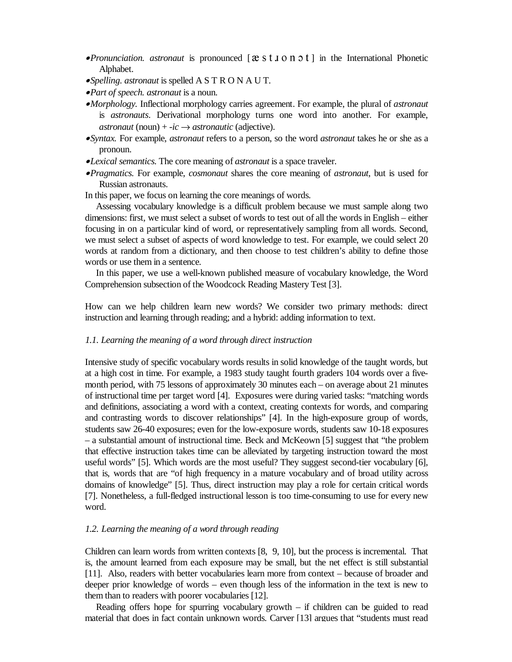- •*Pronunciation. astronaut* is pronounced [ ] in the International Phonetic Alphabet.
- •*Spelling. astronaut* is spelled A S T R O N A U T.
- •*Part of speech. astronaut* is a noun.
- •*Morphology.* Inflectional morphology carries agreement. For example, the plural of *astronaut* is *astronauts*. Derivational morphology turns one word into another. For example, *astronaut* (noun) +  $-ic \rightarrow$  *astronautic* (adjective).
- •*Syntax.* For example, *astronaut* refers to a person, so the word *astronaut* takes he or she as a pronoun.
- •*Lexical semantics.* The core meaning of *astronaut* is a space traveler.
- •*Pragmatics.* For example, *cosmonaut* shares the core meaning of *astronaut*, but is used for Russian astronauts.

In this paper, we focus on learning the core meanings of words.

 Assessing vocabulary knowledge is a difficult problem because we must sample along two dimensions: first, we must select a subset of words to test out of all the words in English – either focusing in on a particular kind of word, or representatively sampling from all words. Second, we must select a subset of aspects of word knowledge to test. For example, we could select 20 words at random from a dictionary, and then choose to test children's ability to define those words or use them in a sentence.

 In this paper, we use a well-known published measure of vocabulary knowledge, the Word Comprehension subsection of the Woodcock Reading Mastery Test [3].

How can we help children learn new words? We consider two primary methods: direct instruction and learning through reading; and a hybrid: adding information to text.

# *1.1. Learning the meaning of a word through direct instruction*

Intensive study of specific vocabulary words results in solid knowledge of the taught words, but at a high cost in time. For example, a 1983 study taught fourth graders 104 words over a fivemonth period, with 75 lessons of approximately 30 minutes each – on average about 21 minutes of instructional time per target word [4]. Exposures were during varied tasks: "matching words and definitions, associating a word with a context, creating contexts for words, and comparing and contrasting words to discover relationships" [4]. In the high-exposure group of words, students saw 26-40 exposures; even for the low-exposure words, students saw 10-18 exposures – a substantial amount of instructional time. Beck and McKeown [5] suggest that "the problem that effective instruction takes time can be alleviated by targeting instruction toward the most useful words" [5]. Which words are the most useful? They suggest second-tier vocabulary [6], that is, words that are "of high frequency in a mature vocabulary and of broad utility across domains of knowledge" [5]. Thus, direct instruction may play a role for certain critical words [7]. Nonetheless, a full-fledged instructional lesson is too time-consuming to use for every new word.

# *1.2. Learning the meaning of a word through reading*

Children can learn words from written contexts [8, 9, 10], but the process is incremental. That is, the amount learned from each exposure may be small, but the net effect is still substantial [11]. Also, readers with better vocabularies learn more from context – because of broader and deeper prior knowledge of words – even though less of the information in the text is new to them than to readers with poorer vocabularies [12].

 Reading offers hope for spurring vocabulary growth – if children can be guided to read material that does in fact contain unknown words. Carver [13] argues that "students must read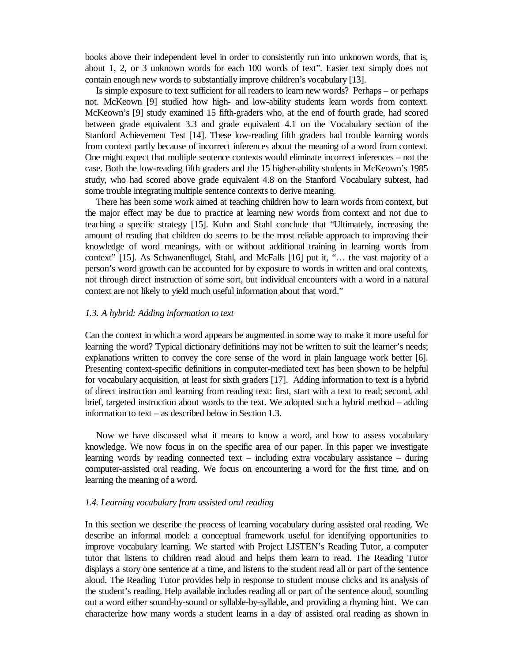books above their independent level in order to consistently run into unknown words, that is, about 1, 2, or 3 unknown words for each 100 words of text". Easier text simply does not contain enough new words to substantially improve children's vocabulary [13].

 Is simple exposure to text sufficient for all readers to learn new words? Perhaps – or perhaps not. McKeown [9] studied how high- and low-ability students learn words from context. McKeown's [9] study examined 15 fifth-graders who, at the end of fourth grade, had scored between grade equivalent 3.3 and grade equivalent 4.1 on the Vocabulary section of the Stanford Achievement Test [14]. These low-reading fifth graders had trouble learning words from context partly because of incorrect inferences about the meaning of a word from context. One might expect that multiple sentence contexts would eliminate incorrect inferences – not the case. Both the low-reading fifth graders and the 15 higher-ability students in McKeown's 1985 study, who had scored above grade equivalent 4.8 on the Stanford Vocabulary subtest, had some trouble integrating multiple sentence contexts to derive meaning.

 There has been some work aimed at teaching children how to learn words from context, but the major effect may be due to practice at learning new words from context and not due to teaching a specific strategy [15]. Kuhn and Stahl conclude that "Ultimately, increasing the amount of reading that children do seems to be the most reliable approach to improving their knowledge of word meanings, with or without additional training in learning words from context" [15]. As Schwanenflugel, Stahl, and McFalls [16] put it, "… the vast majority of a person's word growth can be accounted for by exposure to words in written and oral contexts, not through direct instruction of some sort, but individual encounters with a word in a natural context are not likely to yield much useful information about that word."

## *1.3. A hybrid: Adding information to text*

Can the context in which a word appears be augmented in some way to make it more useful for learning the word? Typical dictionary definitions may not be written to suit the learner's needs; explanations written to convey the core sense of the word in plain language work better [6]. Presenting context-specific definitions in computer-mediated text has been shown to be helpful for vocabulary acquisition, at least for sixth graders [17]. Adding information to text is a hybrid of direct instruction and learning from reading text: first, start with a text to read; second, add brief, targeted instruction about words to the text. We adopted such a hybrid method – adding information to text – as described below in Section 1.3.

 Now we have discussed what it means to know a word, and how to assess vocabulary knowledge. We now focus in on the specific area of our paper. In this paper we investigate learning words by reading connected text – including extra vocabulary assistance – during computer-assisted oral reading. We focus on encountering a word for the first time, and on learning the meaning of a word.

## *1.4. Learning vocabulary from assisted oral reading*

In this section we describe the process of learning vocabulary during assisted oral reading. We describe an informal model: a conceptual framework useful for identifying opportunities to improve vocabulary learning. We started with Project LISTEN's Reading Tutor, a computer tutor that listens to children read aloud and helps them learn to read. The Reading Tutor displays a story one sentence at a time, and listens to the student read all or part of the sentence aloud. The Reading Tutor provides help in response to student mouse clicks and its analysis of the student's reading. Help available includes reading all or part of the sentence aloud, sounding out a word either sound-by-sound or syllable-by-syllable, and providing a rhyming hint. We can characterize how many words a student learns in a day of assisted oral reading as shown in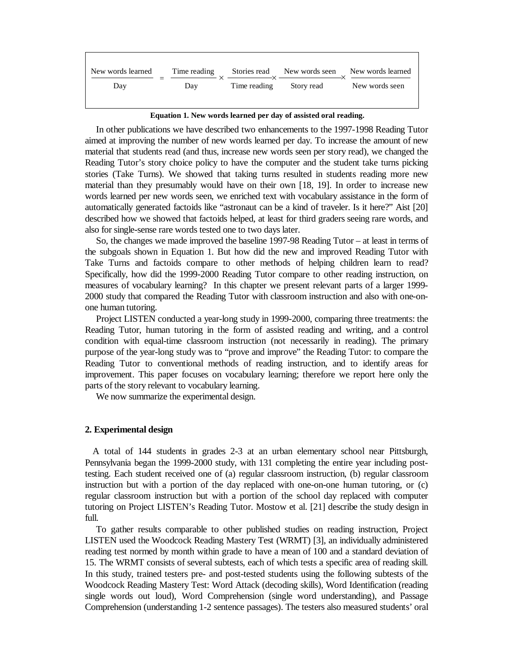| New words learned | Time reading |              | Stories read New words seen New words learned |                |
|-------------------|--------------|--------------|-----------------------------------------------|----------------|
| Day               | Day          | Time reading | Story read                                    | New words seen |
|                   |              |              |                                               |                |

**Equation 1. New words learned per day of assisted oral reading.**

 In other publications we have described two enhancements to the 1997-1998 Reading Tutor aimed at improving the number of new words learned per day. To increase the amount of new material that students read (and thus, increase new words seen per story read), we changed the Reading Tutor's story choice policy to have the computer and the student take turns picking stories (Take Turns). We showed that taking turns resulted in students reading more new material than they presumably would have on their own [18, 19]. In order to increase new words learned per new words seen, we enriched text with vocabulary assistance in the form of automatically generated factoids like "astronaut can be a kind of traveler. Is it here?" Aist [20] described how we showed that factoids helped, at least for third graders seeing rare words, and also for single-sense rare words tested one to two days later.

 So, the changes we made improved the baseline 1997-98 Reading Tutor – at least in terms of the subgoals shown in Equation 1. But how did the new and improved Reading Tutor with Take Turns and factoids compare to other methods of helping children learn to read? Specifically, how did the 1999-2000 Reading Tutor compare to other reading instruction, on measures of vocabulary learning? In this chapter we present relevant parts of a larger 1999- 2000 study that compared the Reading Tutor with classroom instruction and also with one-onone human tutoring.

 Project LISTEN conducted a year-long study in 1999-2000, comparing three treatments: the Reading Tutor, human tutoring in the form of assisted reading and writing, and a control condition with equal-time classroom instruction (not necessarily in reading). The primary purpose of the year-long study was to "prove and improve" the Reading Tutor: to compare the Reading Tutor to conventional methods of reading instruction, and to identify areas for improvement. This paper focuses on vocabulary learning; therefore we report here only the parts of the story relevant to vocabulary learning.

We now summarize the experimental design.

## **2. Experimental design**

 A total of 144 students in grades 2-3 at an urban elementary school near Pittsburgh, Pennsylvania began the 1999-2000 study, with 131 completing the entire year including posttesting. Each student received one of (a) regular classroom instruction, (b) regular classroom instruction but with a portion of the day replaced with one-on-one human tutoring, or (c) regular classroom instruction but with a portion of the school day replaced with computer tutoring on Project LISTEN's Reading Tutor. Mostow et al. [21] describe the study design in full.

 To gather results comparable to other published studies on reading instruction, Project LISTEN used the Woodcock Reading Mastery Test (WRMT) [3], an individually administered reading test normed by month within grade to have a mean of 100 and a standard deviation of 15. The WRMT consists of several subtests, each of which tests a specific area of reading skill. In this study, trained testers pre- and post-tested students using the following subtests of the Woodcock Reading Mastery Test: Word Attack (decoding skills), Word Identification (reading single words out loud), Word Comprehension (single word understanding), and Passage Comprehension (understanding 1-2 sentence passages). The testers also measured students' oral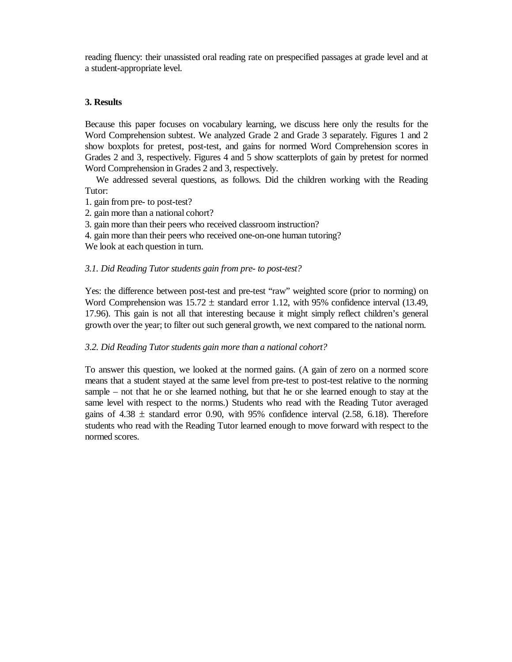reading fluency: their unassisted oral reading rate on prespecified passages at grade level and at a student-appropriate level.

# **3. Results**

Because this paper focuses on vocabulary learning, we discuss here only the results for the Word Comprehension subtest. We analyzed Grade 2 and Grade 3 separately. Figures 1 and 2 show boxplots for pretest, post-test, and gains for normed Word Comprehension scores in Grades 2 and 3, respectively. Figures 4 and 5 show scatterplots of gain by pretest for normed Word Comprehension in Grades 2 and 3, respectively.

 We addressed several questions, as follows. Did the children working with the Reading Tutor:

- 1. gain from pre- to post-test?
- 2. gain more than a national cohort?
- 3. gain more than their peers who received classroom instruction?
- 4. gain more than their peers who received one-on-one human tutoring?

We look at each question in turn.

# *3.1. Did Reading Tutor students gain from pre- to post-test?*

Yes: the difference between post-test and pre-test "raw" weighted score (prior to norming) on Word Comprehension was  $15.72 \pm$  standard error 1.12, with 95% confidence interval (13.49, 17.96). This gain is not all that interesting because it might simply reflect children's general growth over the year; to filter out such general growth, we next compared to the national norm.

# *3.2. Did Reading Tutor students gain more than a national cohort?*

To answer this question, we looked at the normed gains. (A gain of zero on a normed score means that a student stayed at the same level from pre-test to post-test relative to the norming sample – not that he or she learned nothing, but that he or she learned enough to stay at the same level with respect to the norms.) Students who read with the Reading Tutor averaged gains of  $4.38 \pm$  standard error 0.90, with 95% confidence interval (2.58, 6.18). Therefore students who read with the Reading Tutor learned enough to move forward with respect to the normed scores.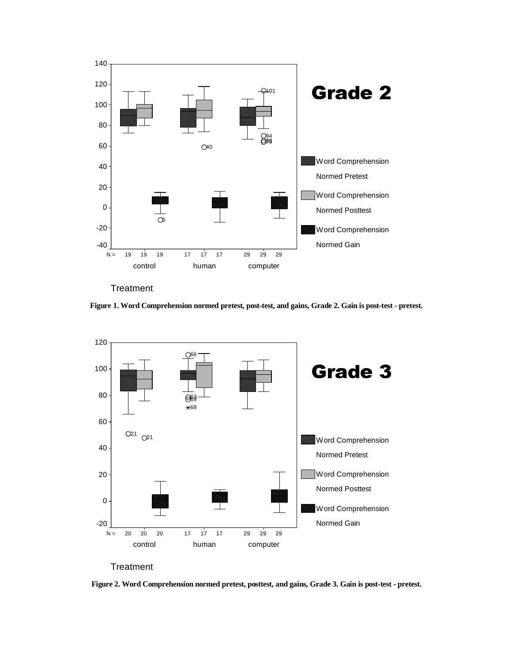

**Treatment** 

**Figure 1. Word Comprehension normed pretest, post-test, and gains, Grade 2. Gain is post-test - pretest.** 



**Figure 2. Word Comprehension normed pretest, posttest, and gains, Grade 3. Gain is post-test - pretest.**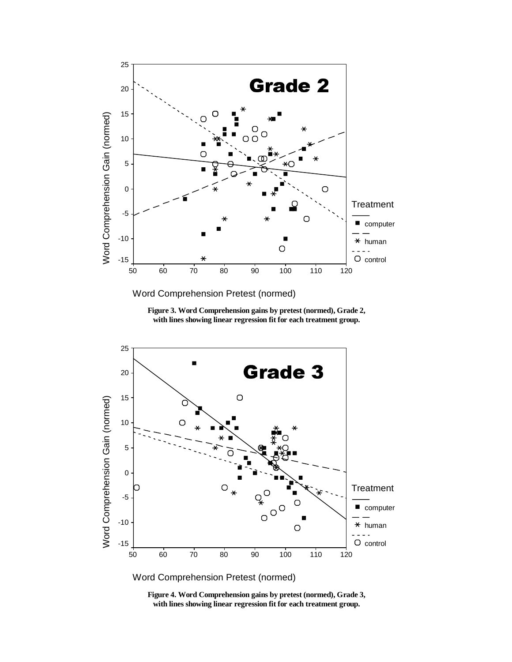

Word Comprehension Pretest (normed)





**Figure 4. Word Comprehension gains by pretest (normed), Grade 3, with lines showing linear regression fit for each treatment group.**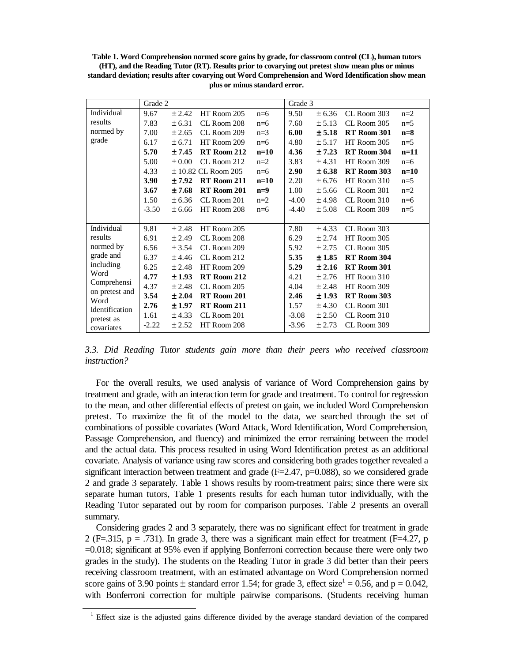**Table 1. Word Comprehension normed score gains by grade, for classroom control (CL), human tutors (HT), and the Reading Tutor (RT). Results prior to covarying out pretest show mean plus or minus standard deviation; results after covarying out Word Comprehension and Word Identification show mean plus or minus standard error.** 

|                        | Grade 2     |                                  |                 | Grade 3 |         |             |             |        |
|------------------------|-------------|----------------------------------|-----------------|---------|---------|-------------|-------------|--------|
| Individual             | 9.67        | ± 2.42                           | HT Room 205     | $n=6$   | 9.50    | ± 6.36      | CL Room 303 | $n=2$  |
| results                | 7.83        | ± 6.31                           | CL Room 208     | $n=6$   | 7.60    | ± 5.13      | CL Room 305 | $n=5$  |
| normed by              | 7.00        | ± 2.65                           | CL Room 209     | $n=3$   | 6.00    | ± 5.18      | RT Room 301 | $n=8$  |
| grade                  | 6.17        | ± 6.71                           | HT Room 209     | $n=6$   | 4.80    | ± 5.17      | HT Room 305 | $n=5$  |
|                        | 5.70        | ±7.45                            | RT Room 212     | $n=10$  | 4.36    | ± 7.23      | RT Room 304 | $n=11$ |
|                        | 5.00        | $\pm 0.00$                       | CL Room 212     | $n=2$   | 3.83    | ± 4.31      | HT Room 309 | $n=6$  |
|                        | 4.33        | $\pm$ 10.82 CL Room 205<br>$n=6$ |                 | 2.90    | ± 6.38  | RT Room 303 | $n=10$      |        |
|                        | <b>3.90</b> | ±7.92                            | RT Room 211     | $n=10$  | 2.20    | ± 6.76      | HT Room 310 | $n=5$  |
|                        | 3.67        | ±7.68                            | RT Room 201     | $n=9$   | 1.00    | ± 5.66      | CL Room 301 | $n=2$  |
|                        | 1.50        | ± 6.36                           | CL Room 201     | $n=2$   | $-4.00$ | ±4.98       | CL Room 310 | $n=6$  |
|                        | $-3.50$     | ± 6.66                           | HT Room 208     | $n=6$   | -4.40   | ± 5.08      | CL Room 309 | $n=5$  |
|                        |             |                                  |                 |         |         |             |             |        |
| Individual             | 9.81        | ± 2.48                           | HT Room 205     |         | 7.80    | ± 4.33      | CL Room 303 |        |
| results                | 6.91        | ± 2.49                           | CL Room 208     |         | 6.29    | ± 2.74      | HT Room 305 |        |
| normed by              | 6.56        | ± 3.54                           | CL Room 209     |         | 5.92    | ± 2.75      | CL Room 305 |        |
| grade and              | 6.37        | ± 4.46                           | $CL$ Room $212$ |         | 5.35    | ±1.85       | RT Room 304 |        |
| including              | 6.25        | ± 2.48                           | HT Room 209     |         | 5.29    | ± 2.16      | RT Room 301 |        |
| Word                   | 4.77        | ±1.93                            | RT Room 212     |         | 4.21    | ± 2.76      | HT Room 310 |        |
| Comprehensi            | 4.37        | ± 2.48                           | CL Room 205     |         | 4.04    | ± 2.48      | HT Room 309 |        |
| on pretest and<br>Word | 3.54        | ± 2.04                           | RT Room 201     |         | 2.46    | ±1.93       | RT Room 303 |        |
| Identification         | 2.76        | ±1.97                            | RT Room 211     |         | 1.57    | ±4.30       | CL Room 301 |        |
| pretest as             | 1.61        | ± 4.33                           | CL Room 201     |         | $-3.08$ | ± 2.50      | CL Room 310 |        |
| covariates             | $-2.22$     | ± 2.52                           | HT Room 208     |         | $-3.96$ | ± 2.73      | CL Room 309 |        |

*3.3. Did Reading Tutor students gain more than their peers who received classroom instruction?* 

 For the overall results, we used analysis of variance of Word Comprehension gains by treatment and grade, with an interaction term for grade and treatment. To control for regression to the mean, and other differential effects of pretest on gain, we included Word Comprehension pretest. To maximize the fit of the model to the data, we searched through the set of combinations of possible covariates (Word Attack, Word Identification, Word Comprehension, Passage Comprehension, and fluency) and minimized the error remaining between the model and the actual data. This process resulted in using Word Identification pretest as an additional covariate. Analysis of variance using raw scores and considering both grades together revealed a significant interaction between treatment and grade  $(F=2.47, p=0.088)$ , so we considered grade 2 and grade 3 separately. Table 1 shows results by room-treatment pairs; since there were six separate human tutors, Table 1 presents results for each human tutor individually, with the Reading Tutor separated out by room for comparison purposes. Table 2 presents an overall summary.

 Considering grades 2 and 3 separately, there was no significant effect for treatment in grade 2 (F=.315, p = .731). In grade 3, there was a significant main effect for treatment (F=4.27, p =0.018; significant at 95% even if applying Bonferroni correction because there were only two grades in the study). The students on the Reading Tutor in grade 3 did better than their peers receiving classroom treatment, with an estimated advantage on Word Comprehension normed score gains of 3.90 points  $\pm$  standard error 1.54; for grade 3, effect size<sup>1</sup> = 0.56, and p = 0.042, with Bonferroni correction for multiple pairwise comparisons. (Students receiving human

<sup>&</sup>lt;sup>1</sup> Effect size is the adjusted gains difference divided by the average standard deviation of the compared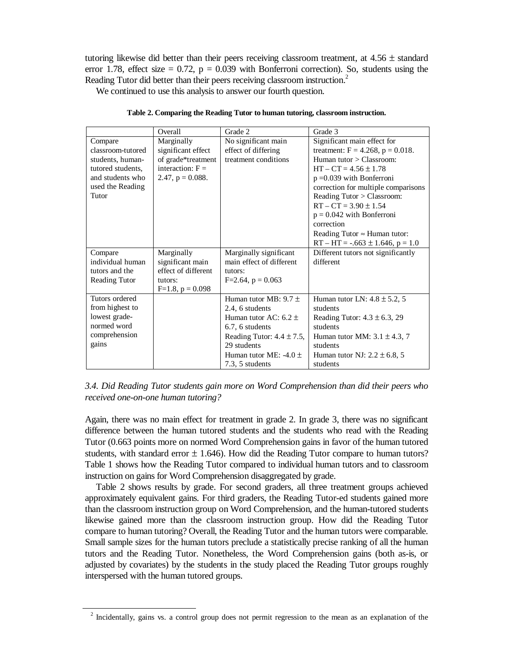tutoring likewise did better than their peers receiving classroom treatment, at  $4.56 \pm$  standard error 1.78, effect size  $= 0.72$ ,  $p = 0.039$  with Bonferroni correction). So, students using the Reading Tutor did better than their peers receiving classroom instruction.<sup>2</sup>

We continued to use this analysis to answer our fourth question.

|                      | Overall               | Grade 2                        | Grade 3                                |
|----------------------|-----------------------|--------------------------------|----------------------------------------|
| Compare              | Marginally            | No significant main            | Significant main effect for            |
| classroom-tutored    | significant effect    | effect of differing            | treatment: $F = 4.268$ , $p = 0.018$ . |
| students, human-     | of grade*treatment    | treatment conditions           | Human tutor $\geq$ Classroom:          |
| tutored students,    | interaction: $F =$    |                                | $HT - CT = 4.56 \pm 1.78$              |
| and students who     | 2.47, $p = 0.088$ .   |                                | $p = 0.039$ with Bonferroni            |
| used the Reading     |                       |                                | correction for multiple comparisons    |
| Tutor                |                       |                                | Reading Tutor > Classroom:             |
|                      |                       |                                | $RT - CT = 3.90 \pm 1.54$              |
|                      |                       |                                | $p = 0.042$ with Bonferroni            |
|                      |                       |                                | correction                             |
|                      |                       |                                | Reading Tutor $\approx$ Human tutor:   |
|                      |                       |                                | $RT - HT = -.663 \pm 1.646, p = 1.0$   |
| Compare              | Marginally            | Marginally significant         | Different tutors not significantly     |
| individual human     | significant main      | main effect of different       | different                              |
| tutors and the       | effect of different   | tutors:                        |                                        |
| <b>Reading Tutor</b> | tutors:               | $F=2.64$ , $p = 0.063$         |                                        |
|                      | $F=1.8$ , $p = 0.098$ |                                |                                        |
| Tutors ordered       |                       | Human tutor MB: $9.7 \pm$      | Human tutor LN: $4.8 \pm 5.2$ , 5      |
| from highest to      |                       | 2.4, 6 students                | students                               |
| lowest grade-        |                       | Human tutor AC: $6.2 \pm$      | Reading Tutor: $4.3 \pm 6.3$ , 29      |
| normed word          |                       | 6.7, 6 students                | students                               |
| comprehension        |                       | Reading Tutor: $4.4 \pm 7.5$ , | Human tutor MM: $3.1 \pm 4.3$ , 7      |
| gains                |                       | 29 students                    | students                               |
|                      |                       | Human tutor ME: $-4.0 \pm$     | Human tutor NJ: $2.2 \pm 6.8$ , 5      |
|                      |                       | 7.3, 5 students                | students                               |

**Table 2. Comparing the Reading Tutor to human tutoring, classroom instruction.** 

*3.4. Did Reading Tutor students gain more on Word Comprehension than did their peers who received one-on-one human tutoring?* 

Again, there was no main effect for treatment in grade 2. In grade 3, there was no significant difference between the human tutored students and the students who read with the Reading Tutor (0.663 points more on normed Word Comprehension gains in favor of the human tutored students, with standard error  $\pm$  1.646). How did the Reading Tutor compare to human tutors? Table 1 shows how the Reading Tutor compared to individual human tutors and to classroom instruction on gains for Word Comprehension disaggregated by grade.

 Table 2 shows results by grade. For second graders, all three treatment groups achieved approximately equivalent gains. For third graders, the Reading Tutor-ed students gained more than the classroom instruction group on Word Comprehension, and the human-tutored students likewise gained more than the classroom instruction group. How did the Reading Tutor compare to human tutoring? Overall, the Reading Tutor and the human tutors were comparable. Small sample sizes for the human tutors preclude a statistically precise ranking of all the human tutors and the Reading Tutor. Nonetheless, the Word Comprehension gains (both as-is, or adjusted by covariates) by the students in the study placed the Reading Tutor groups roughly interspersed with the human tutored groups.

<sup>&</sup>lt;sup>2</sup> Incidentally, gains vs. a control group does not permit regression to the mean as an explanation of the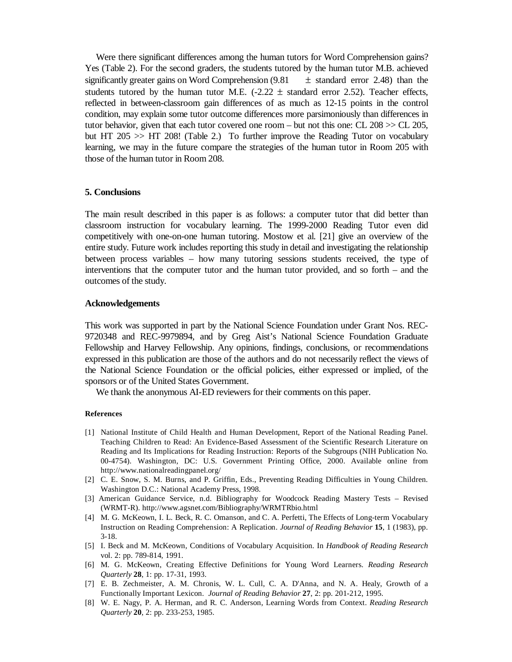Were there significant differences among the human tutors for Word Comprehension gains? Yes (Table 2). For the second graders, the students tutored by the human tutor M.B. achieved significantly greater gains on Word Comprehension  $(9.81 \pm$  standard error 2.48) than the students tutored by the human tutor M.E.  $(-2.22 \pm \text{standard error } 2.52)$ . Teacher effects, reflected in between-classroom gain differences of as much as 12-15 points in the control condition, may explain some tutor outcome differences more parsimoniously than differences in tutor behavior, given that each tutor covered one room – but not this one: CL 208 >> CL 205, but HT 205 >> HT 208! (Table 2.) To further improve the Reading Tutor on vocabulary learning, we may in the future compare the strategies of the human tutor in Room 205 with those of the human tutor in Room 208.

## **5. Conclusions**

The main result described in this paper is as follows: a computer tutor that did better than classroom instruction for vocabulary learning. The 1999-2000 Reading Tutor even did competitively with one-on-one human tutoring. Mostow et al. [21] give an overview of the entire study. Future work includes reporting this study in detail and investigating the relationship between process variables – how many tutoring sessions students received, the type of interventions that the computer tutor and the human tutor provided, and so forth – and the outcomes of the study.

#### **Acknowledgements**

This work was supported in part by the National Science Foundation under Grant Nos. REC-9720348 and REC-9979894, and by Greg Aist's National Science Foundation Graduate Fellowship and Harvey Fellowship. Any opinions, findings, conclusions, or recommendations expressed in this publication are those of the authors and do not necessarily reflect the views of the National Science Foundation or the official policies, either expressed or implied, of the sponsors or of the United States Government.

We thank the anonymous AI-ED reviewers for their comments on this paper.

#### **References**

- [1] National Institute of Child Health and Human Development, Report of the National Reading Panel. Teaching Children to Read: An Evidence-Based Assessment of the Scientific Research Literature on Reading and Its Implications for Reading Instruction: Reports of the Subgroups (NIH Publication No. 00-4754). Washington, DC: U.S. Government Printing Office, 2000. Available online from http://www.nationalreadingpanel.org/
- [2] C. E. Snow, S. M. Burns, and P. Griffin, Eds., Preventing Reading Difficulties in Young Children. Washington D.C.: National Academy Press, 1998.
- [3] American Guidance Service, n.d. Bibliography for Woodcock Reading Mastery Tests Revised (WRMT-R). http://www.agsnet.com/Bibliography/WRMTRbio.html
- [4] M. G. McKeown, I. L. Beck, R. C. Omanson, and C. A. Perfetti, The Effects of Long-term Vocabulary Instruction on Reading Comprehension: A Replication. *Journal of Reading Behavior* **15**, 1 (1983), pp. 3-18.
- [5] I. Beck and M. McKeown, Conditions of Vocabulary Acquisition. In *Handbook of Reading Research* vol. 2: pp. 789-814, 1991.
- [6] M. G. McKeown, Creating Effective Definitions for Young Word Learners. *Reading Research Quarterly* **28**, 1: pp. 17-31, 1993.
- [7] E. B. Zechmeister, A. M. Chronis, W. L. Cull, C. A. D'Anna, and N. A. Healy, Growth of a Functionally Important Lexicon. *Journal of Reading Behavior* **27**, 2: pp. 201-212, 1995.
- [8] W. E. Nagy, P. A. Herman, and R. C. Anderson, Learning Words from Context. *Reading Research Quarterly* **20**, 2: pp. 233-253, 1985.